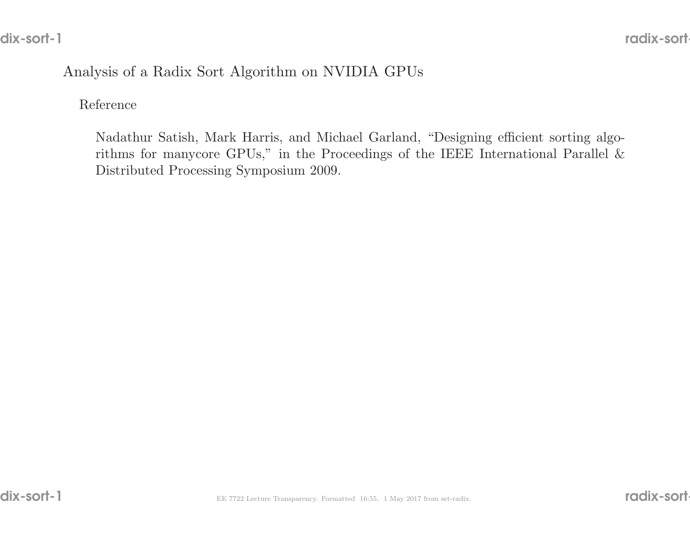# Analysis of <sup>a</sup> Radix Sort Algorithm on NVIDIA GPUs

#### Reference

Nadathur Satish, Mark Harris, and Michael Garland, "Designing efficient sorting algorithms for manycore GPUs," in the Proceedings of the IEEE International Parallel  $\&$ Distributed Processing Symposium 2009.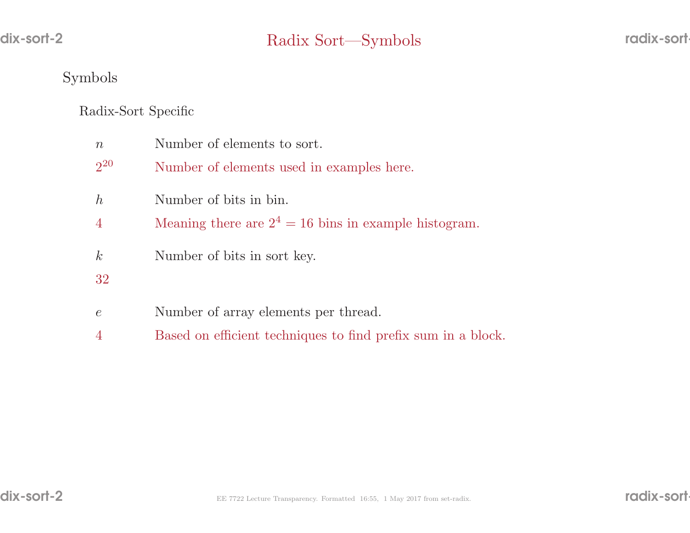## Symbols

# Radix-Sort Specific

| $\, n$         | Number of elements to sort.                             |
|----------------|---------------------------------------------------------|
| $2^{20}$       | Number of elements used in examples here.               |
| h              | Number of bits in bin.                                  |
| $\overline{4}$ | Meaning there are $2^4 = 16$ bins in example histogram. |
| $\mathcal{k}$  | Number of bits in sort key.                             |
| 32             |                                                         |
| $\epsilon$     | Number of array elements per thread.                    |

<sup>4</sup> Based on efficient techniques to find prefix sum in <sup>a</sup> block.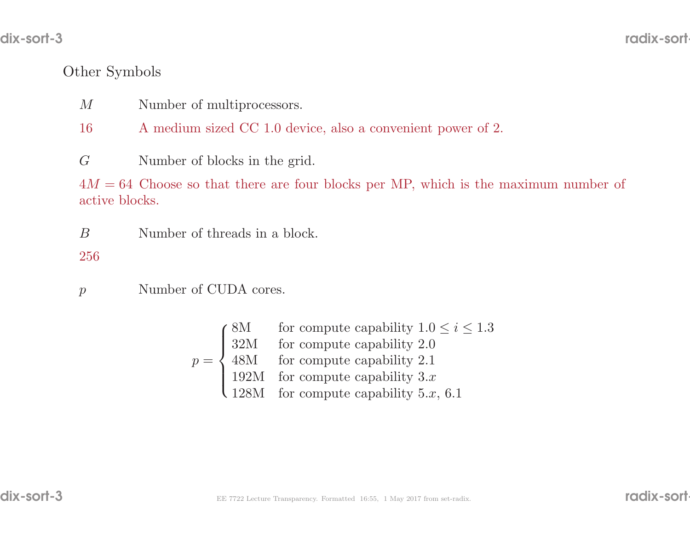## Other Symbols

- $M$ M Number of multiprocessors.<br>16 A medium sized CC 1.0 dex
- A medium sized CC 1.0 device, also a convenient power of 2.

 $G$ Number of blocks in the grid.

 $4M = 64$  Choose so that there are four blocks per MP, which is the maximum number of active blocks active blocks.

BNumber of threads in <sup>a</sup> block.

256

 $\mathcal{p}$ Number of CUDA cores.

> $p =$ 8M for compute capability  $1.0 \le i \le 1.3$ <br>32M for compute capability 2.1<br>192M for compute capability 3.x<br>128M for compute capability 5.x, 6.1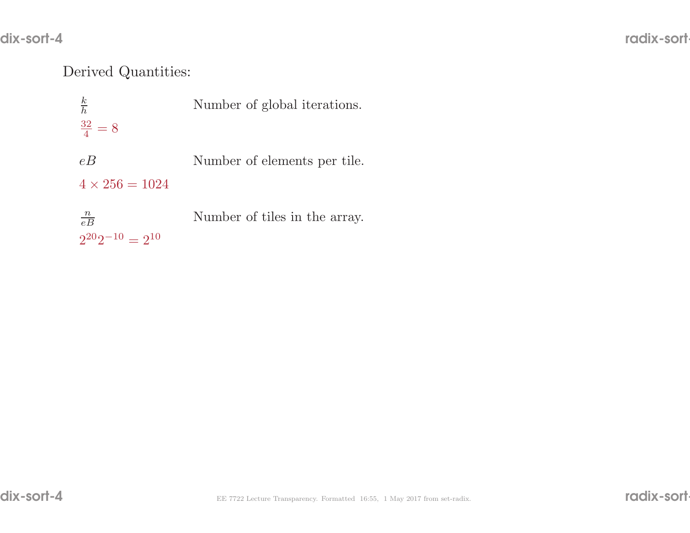# Derived Quantities:

| $\frac{k}{h}$                              | Number of global iterations.  |
|--------------------------------------------|-------------------------------|
| $\frac{32}{4} = 8$                         |                               |
| eB<br>$4 \times 256 = 1024$                | Number of elements per tile.  |
| $\frac{n}{eB}$<br>$2^{20}2^{-10} = 2^{10}$ | Number of tiles in the array. |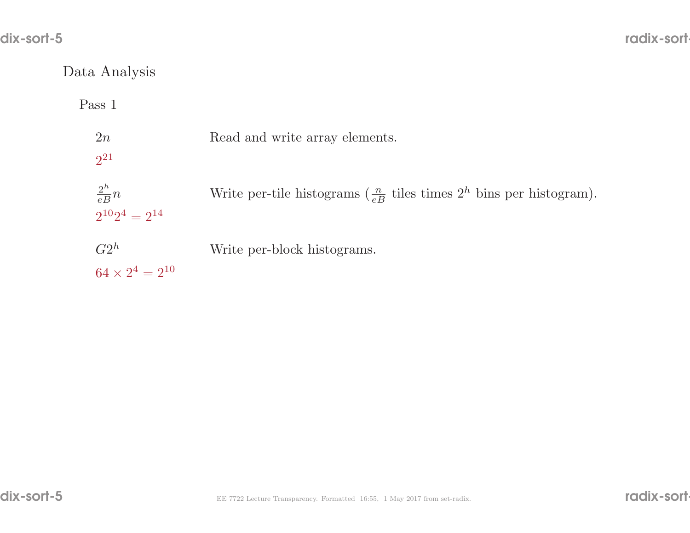# Data Analysis

Pass <sup>1</sup>

| 2n<br>$2^{21}$                            | Read and write array elements.                                                        |
|-------------------------------------------|---------------------------------------------------------------------------------------|
| $\frac{2^h}{eB}n$<br>$2^{10}2^4 = 2^{14}$ | Write per-tile histograms $\left(\frac{n}{eB}$ tiles times $2^h$ bins per histogram). |
| $G2^h$<br>$64 \times 2^4 = 2^{10}$        | Write per-block histograms.                                                           |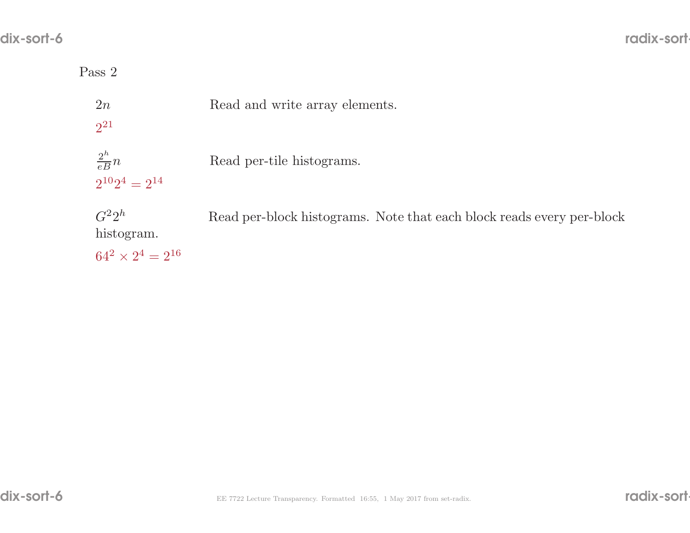## Pass <sup>2</sup>

| 2n<br>$2^{21}$                                       | Read and write array elements.                                        |
|------------------------------------------------------|-----------------------------------------------------------------------|
| $\frac{2^h}{eB}n$<br>$2^{10}2^4 = 2^{14}$            | Read per-tile histograms.                                             |
| $G^22^h$<br>histogram.<br>$64^2 \times 2^4 = 2^{16}$ | Read per-block histograms. Note that each block reads every per-block |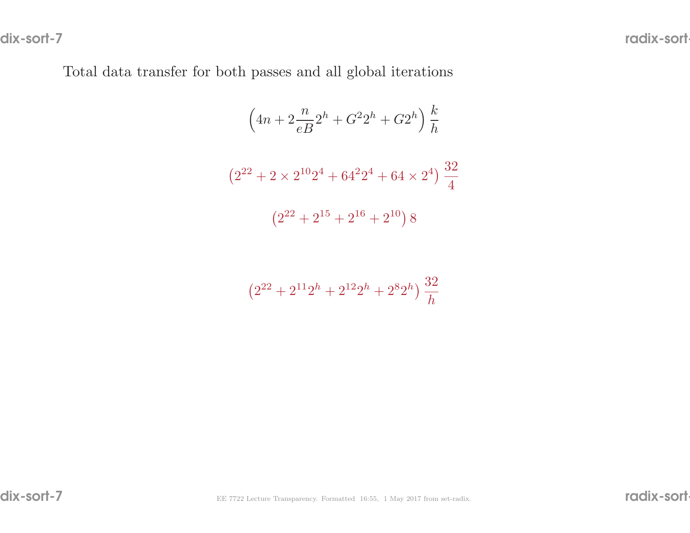Total data transfer for both passes and all <sup>g</sup>lobal iterations

$$
\left(4n + 2\frac{n}{eB}2^{h} + G^{2}2^{h} + G^{2}h\right)\frac{k}{h}
$$

$$
\left(2^{22} + 2 \times 2^{10}2^{4} + 64^{2}2^{4} + 64 \times 2^{4}\right)\frac{32}{4}
$$

$$
\left(2^{22} + 2^{15} + 2^{16} + 2^{10}\right)8
$$

$$
\left(2^{22} + 2^{11}2^h + 2^{12}2^h + 2^8 2^h\right) \frac{32}{h}
$$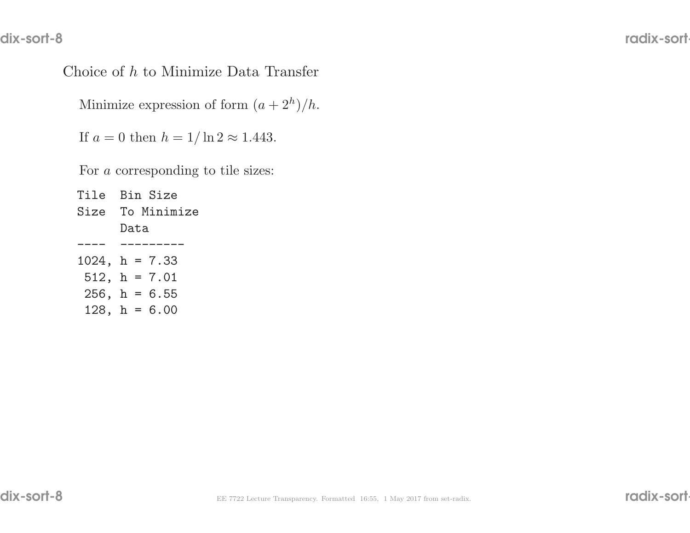# Choice of <sup>h</sup> to Minimize Data Transfer

Minimize expression of form  $(a + 2<sup>h</sup>)/h$ .

If  $a = 0$  then  $h = 1/\ln 2 \approx 1.443$ .

For a corresponding to tile sizes:

| Tile Bin Size      |
|--------------------|
| Size To Minimize   |
| Data               |
|                    |
| $1024$ , h = 7.33  |
| $512$ , $h = 7.01$ |
| $256$ , h = 6.55   |
| 128, $h = 6.00$    |
|                    |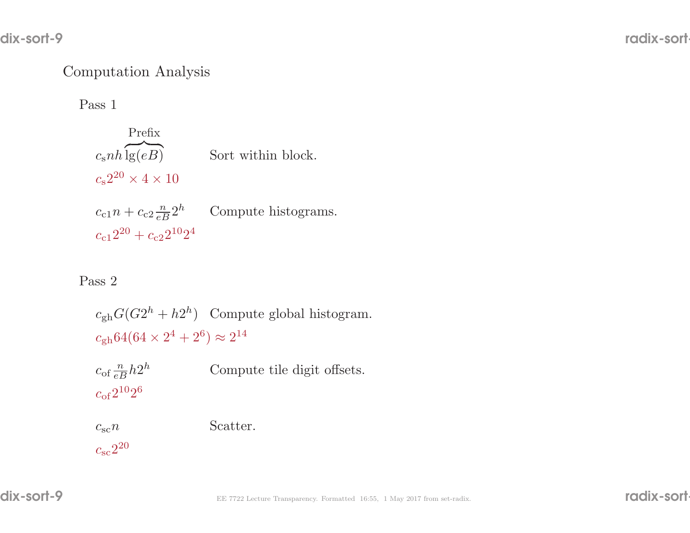## Computation Analysis

Pass <sup>1</sup>

 $c_{\rm s}nh\overbrace{{\rm lg}(eB)}$ Prefix $\lg(eB)$  Sort within block.  $c_{\rm s}2^{20} \times 4 \times 10$  $c_{c1}n + c_{c2} \frac{n}{eB} 2^h$  Compute histograms.  $c_{c1}2^{20} + c_{c2}2^{10}2^4$ 

#### Pass <sup>2</sup>

 $c_{\rm sc}2^{20}$ 

 $c_{\text{gh}}G(G2^h + h2^h)$  Compute global histogram.  $c_{\text{gh}}64(64 \times 2^4 + 2^6) \approx 2^{14}$ 

| $c_{\rm of} \frac{n}{eB} h 2^h$ | Compute tile digit offsets. |
|---------------------------------|-----------------------------|
| $c_{\rm of}2^{10}2^6$           |                             |
| $c_{\rm sc} n$                  | Scatter.                    |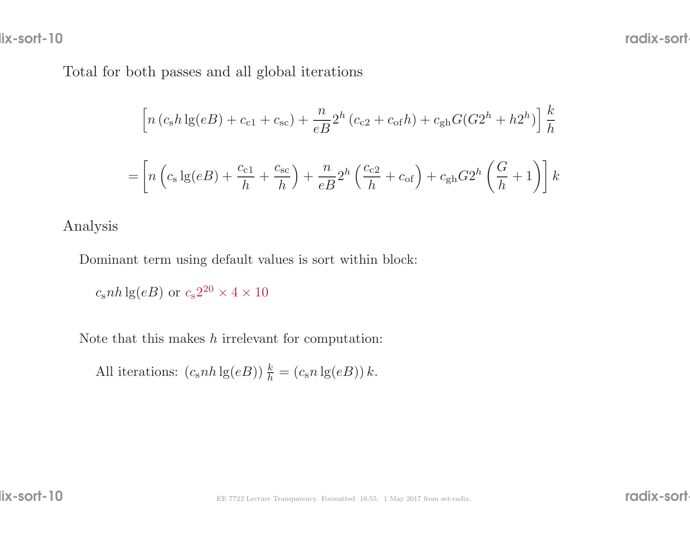lix-sort-10

Total for both passes and all <sup>g</sup>lobal iterations

$$
\left[ n (c_8 h \lg(eB) + c_{c1} + c_{sc}) + \frac{n}{eB} 2^h (c_{c2} + c_{of} h) + c_{gh} G (G 2^h + h 2^h) \right] \frac{k}{h}
$$
  
= 
$$
\left[ n \left( c_8 \lg(eB) + \frac{c_{c1}}{h} + \frac{c_{sc}}{h} \right) + \frac{n}{eB} 2^h \left( \frac{c_{c2}}{h} + c_{of} \right) + c_{gh} G 2^h \left( \frac{G}{h} + 1 \right) \right] k
$$

Analysis

Dominant term using default values is sort within block:

 $c_{\rm s}nh\lg(eB)$  or  $c_{\rm s}2^{20}\times4\times10$ 

Note that this makes  $h$  irrelevant for computation:

All iterations:  $(c<sub>s</sub>nh \lg(eB)) \frac{k}{h} = (c<sub>s</sub>n \lg(eB)) k$ .

lix-sort-10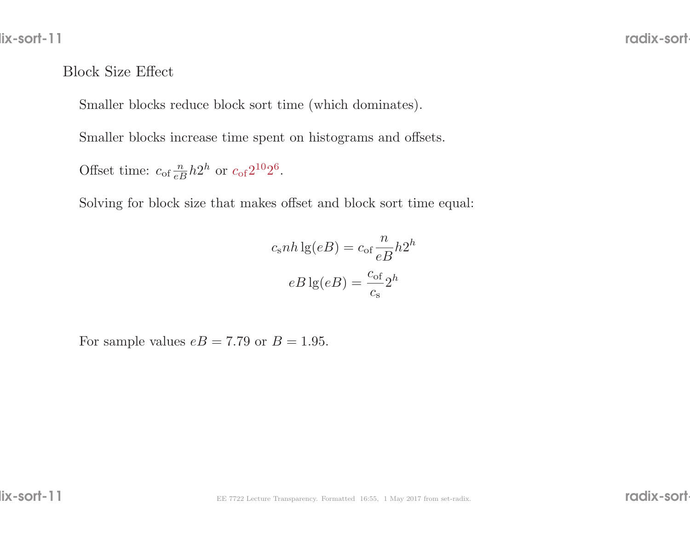#### Block Size Effect

Smaller blocks reduce block sort time (which dominates).

Smaller blocks increase time spent on histograms and offsets.

Offset time:  $c_{\text{of}}\frac{n}{eB}h2^h$  or  $c_{\text{of}}2^{10}2^6$ .

Solving for block size that makes offset and block sort time equal:

$$
csnh \lg(eB) = cof \frac{n}{eB} h2h
$$

$$
eB \lg(eB) = \frac{cof}{cs} 2h
$$

For sample values  $eB = 7.79$  or  $B = 1.95$ .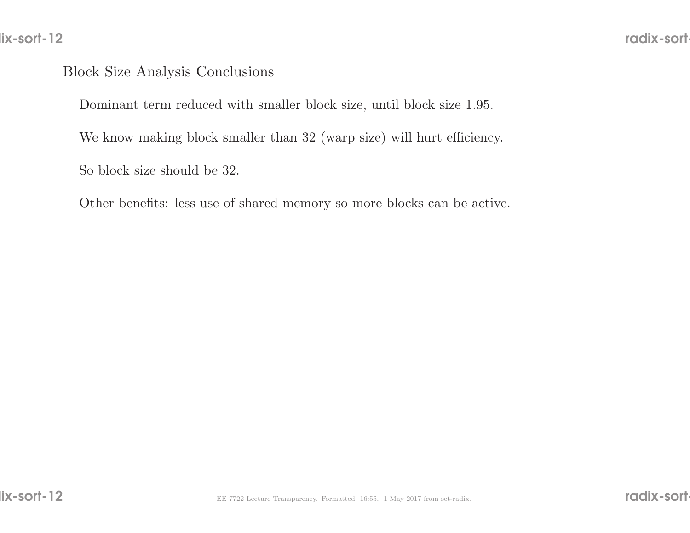#### Block Size Analysis Conclusions

Dominant term reduced with smaller block size, until block size 1.95.

We know making block smaller than <sup>32</sup> (warp size) will hurt efficiency.

So block size should be 32.

Other benefits: less use of shared memory so more blocks can be active.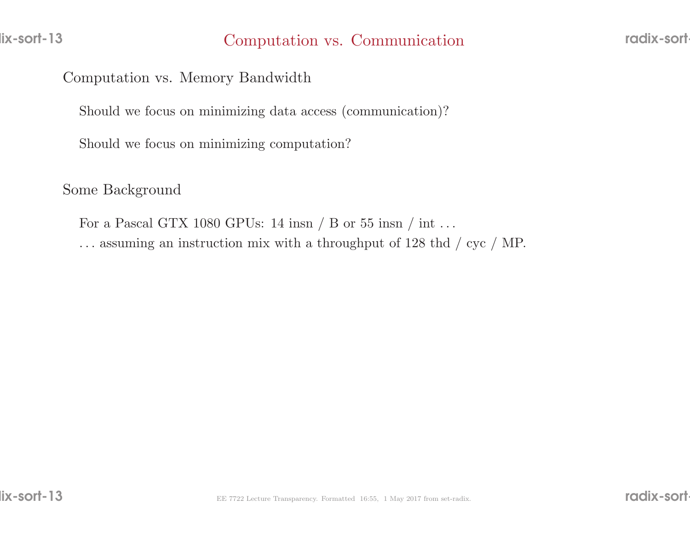Computation vs. Memory Bandwidth

Should we focus on minimizing data access (communication)?

Should we focus on minimizing computation?

Some Background

For a Pascal GTX 1080 GPUs: 14 insn  $/$  B or 55 insn  $/$  int ... . . . assuming an instruction mix with <sup>a</sup> throughput of <sup>128</sup> thd / cyc / MP.